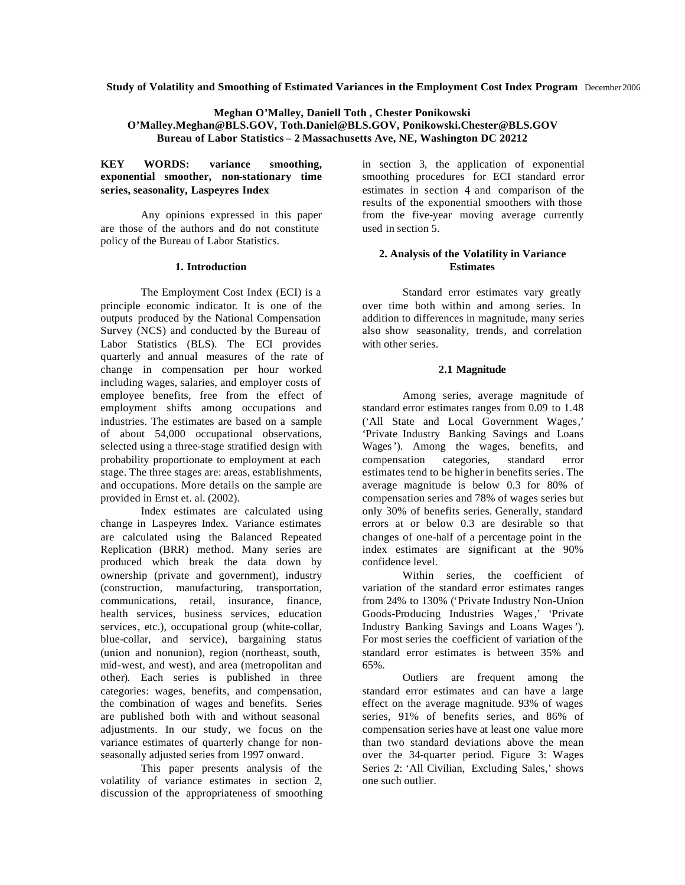**Study of Volatility and Smoothing of Estimated Variances in the Employment Cost Index Program** December 2006

## **Meghan O'Malley, Daniell Toth , Chester Ponikowski O'Malley.Meghan@BLS.GOV, Toth.Daniel@BLS.GOV, Ponikowski.Chester@BLS.GOV Bureau of Labor Statistics – 2 Massachusetts Ave, NE, Washington DC 20212**

**KEY WORDS: variance smoothing, exponential smoother, non-stationary time series, seasonality, Laspeyres Index**

Any opinions expressed in this paper are those of the authors and do not constitute policy of the Bureau of Labor Statistics.

## **1. Introduction**

The Employment Cost Index (ECI) is a principle economic indicator. It is one of the outputs produced by the National Compensation Survey (NCS) and conducted by the Bureau of Labor Statistics (BLS). The ECI provides quarterly and annual measures of the rate of change in compensation per hour worked including wages, salaries, and employer costs of employee benefits, free from the effect of employment shifts among occupations and industries. The estimates are based on a sample of about 54,000 occupational observations, selected using a three-stage stratified design with probability proportionate to employment at each stage. The three stages are: areas, establishments, and occupations. More details on the sample are provided in Ernst et. al. (2002).

Index estimates are calculated using change in Laspeyres Index. Variance estimates are calculated using the Balanced Repeated Replication (BRR) method. Many series are produced which break the data down by ownership (private and government), industry (construction, manufacturing, transportation, communications, retail, insurance, finance, health services, business services, education services, etc.), occupational group (white-collar, blue-collar, and service), bargaining status (union and nonunion), region (northeast, south, mid-west, and west), and area (metropolitan and other). Each series is published in three categories: wages, benefits, and compensation, the combination of wages and benefits. Series are published both with and without seasonal adjustments. In our study, we focus on the variance estimates of quarterly change for nonseasonally adjusted series from 1997 onward.

This paper presents analysis of the volatility of variance estimates in section 2, discussion of the appropriateness of smoothing

in section 3, the application of exponential smoothing procedures for ECI standard error estimates in section 4, and comparison of the results of the exponential smoothers with those from the five-year moving average currently used in section 5.

## **2. Analysis of the Volatility in Variance Estimates**

Standard error estimates vary greatly over time both within and among series. In addition to differences in magnitude, many series also show seasonality, trends, and correlation with other series.

# **2.1 Magnitude**

Among series, average magnitude of standard error estimates ranges from 0.09 to 1.48 ('All State and Local Government Wages,' 'Private Industry Banking Savings and Loans Wages'). Among the wages, benefits, and compensation categories, standard error estimates tend to be higher in benefits series. The average magnitude is below 0.3 for 80% of compensation series and 78% of wages series but only 30% of benefits series. Generally, standard errors at or below 0.3 are desirable so that changes of one-half of a percentage point in the index estimates are significant at the 90% confidence level.

Within series, the coefficient of variation of the standard error estimates ranges from 24% to 130% ('Private Industry Non-Union Goods-Producing Industries Wages,' 'Private Industry Banking Savings and Loans Wages'). For most series the coefficient of variation of the standard error estimates is between 35% and 65%.

Outliers are frequent among the standard error estimates and can have a large effect on the average magnitude. 93% of wages series, 91% of benefits series, and 86% of compensation series have at least one value more than two standard deviations above the mean over the 34-quarter period. Figure 3: Wages Series 2: 'All Civilian, Excluding Sales,' shows one such outlier.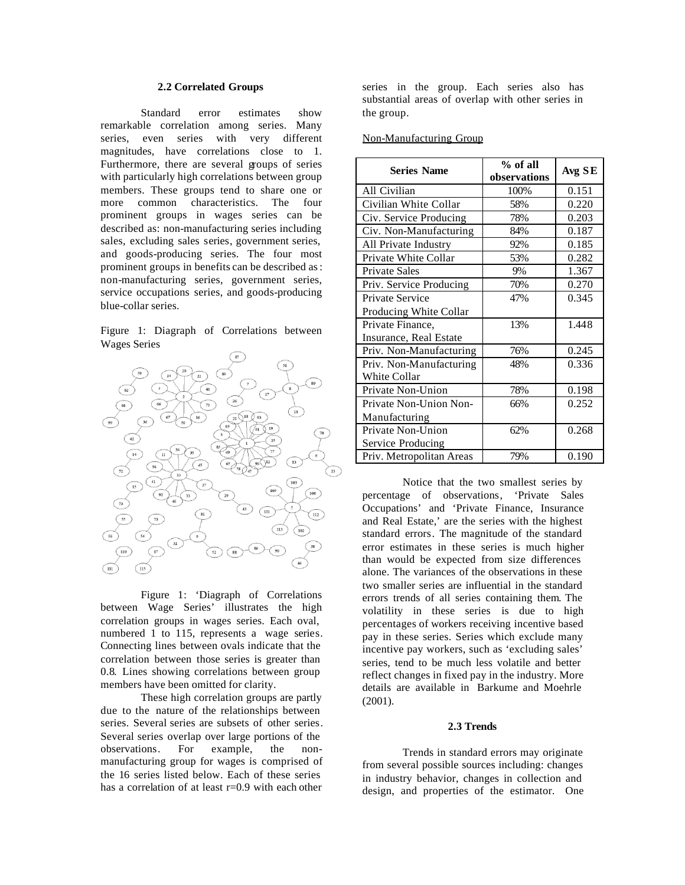# **2.2 Correlated Groups**

Standard error estimates show remarkable correlation among series. Many series, even series with very different magnitudes, have correlations close to 1. Furthermore, there are several groups of series with particularly high correlations between group members. These groups tend to share one or more common characteristics. The four prominent groups in wages series can be described as: non-manufacturing series including sales, excluding sales series, government series, and goods-producing series. The four most prominent groups in benefits can be described as: non-manufacturing series, government series, service occupations series, and goods-producing blue-collar series.

Figure 1: Diagraph of Correlations between Wages Series



Figure 1: 'Diagraph of Correlations between Wage Series' illustrates the high correlation groups in wages series. Each oval, numbered 1 to 115, represents a wage series. Connecting lines between ovals indicate that the correlation between those series is greater than 0.8. Lines showing correlations between group members have been omitted for clarity.

These high correlation groups are partly due to the nature of the relationships between series. Several series are subsets of other series. Several series overlap over large portions of the observations. For example, the nonmanufacturing group for wages is comprised of the 16 series listed below. Each of these series has a correlation of at least r=0.9 with each other

series in the group. Each series also has substantial areas of overlap with other series in the group.

### Non-Manufacturing Group

| <b>Series Name</b>       | % of all<br>observations | Avg SE |
|--------------------------|--------------------------|--------|
| All Civilian             | 100%                     | 0.151  |
| Civilian White Collar    | 58%                      | 0.220  |
| Civ. Service Producing   | 78%                      | 0.203  |
| Civ. Non-Manufacturing   | 84%                      | 0.187  |
| All Private Industry     | 92%                      | 0.185  |
| Private White Collar     | 53%                      | 0.282  |
| <b>Private Sales</b>     | 9%                       | 1.367  |
| Priv. Service Producing  | 70%                      | 0.270  |
| Private Service          | 47%                      | 0.345  |
| Producing White Collar   |                          |        |
| Private Finance,         | 13%                      | 1.448  |
| Insurance, Real Estate   |                          |        |
| Priv. Non-Manufacturing  | 76%                      | 0.245  |
| Priv. Non-Manufacturing  | 48%                      | 0.336  |
| <b>White Collar</b>      |                          |        |
| Private Non-Union        | 78%                      | 0.198  |
| Private Non-Union Non-   | 66%                      | 0.252  |
| Manufacturing            |                          |        |
| Private Non-Union        | 62%                      | 0.268  |
| Service Producing        |                          |        |
| Priv. Metropolitan Areas | 79%                      | 0.190  |

Notice that the two smallest series by percentage of observations, 'Private Sales Occupations' and 'Private Finance, Insurance and Real Estate,' are the series with the highest standard errors. The magnitude of the standard error estimates in these series is much higher than would be expected from size differences alone. The variances of the observations in these two smaller series are influential in the standard errors trends of all series containing them. The volatility in these series is due to high percentages of workers receiving incentive based pay in these series. Series which exclude many incentive pay workers, such as 'excluding sales' series, tend to be much less volatile and better reflect changes in fixed pay in the industry. More details are available in Barkume and Moehrle (2001).

## **2.3 Trends**

Trends in standard errors may originate from several possible sources including: changes in industry behavior, changes in collection and design, and properties of the estimator. One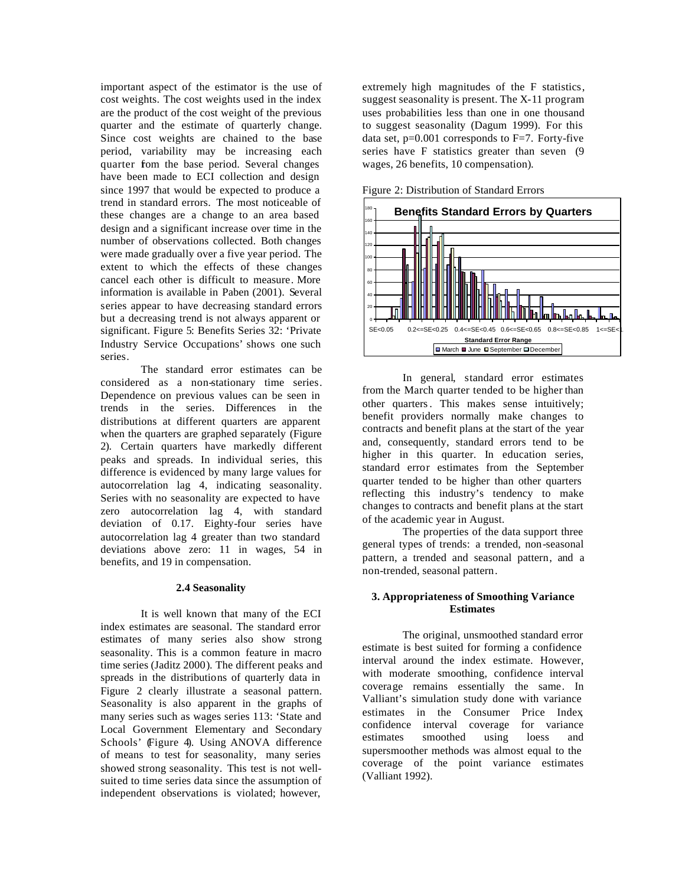important aspect of the estimator is the use of cost weights. The cost weights used in the index are the product of the cost weight of the previous quarter and the estimate of quarterly change. Since cost weights are chained to the base period, variability may be increasing each quarter fom the base period. Several changes have been made to ECI collection and design since 1997 that would be expected to produce a trend in standard errors. The most noticeable of these changes are a change to an area based design and a significant increase over time in the number of observations collected. Both changes were made gradually over a five year period. The extent to which the effects of these changes cancel each other is difficult to measure. More information is available in Paben (2001). Several series appear to have decreasing standard errors but a decreasing trend is not always apparent or significant. Figure 5: Benefits Series 32: 'Private Industry Service Occupations' shows one such series.

The standard error estimates can be considered as a non-stationary time series. Dependence on previous values can be seen in trends in the series. Differences in the distributions at different quarters are apparent when the quarters are graphed separately (Figure 2). Certain quarters have markedly different peaks and spreads. In individual series, this difference is evidenced by many large values for autocorrelation lag 4, indicating seasonality. Series with no seasonality are expected to have zero autocorrelation lag 4, with standard deviation of 0.17. Eighty-four series have autocorrelation lag 4 greater than two standard deviations above zero: 11 in wages, 54 in benefits, and 19 in compensation.

### **2.4 Seasonality**

It is well known that many of the ECI index estimates are seasonal. The standard error estimates of many series also show strong seasonality. This is a common feature in macro time series (Jaditz 2000). The different peaks and spreads in the distributions of quarterly data in Figure 2 clearly illustrate a seasonal pattern. Seasonality is also apparent in the graphs of many series such as wages series 113: 'State and Local Government Elementary and Secondary Schools' (Figure 4). Using ANOVA difference of means to test for seasonality, many series showed strong seasonality. This test is not wellsuited to time series data since the assumption of independent observations is violated; however,

extremely high magnitudes of the F statistics, suggest seasonality is present. The X-11 program uses probabilities less than one in one thousand to suggest seasonality (Dagum 1999). For this data set,  $p=0.001$  corresponds to F=7. Forty-five series have F statistics greater than seven (9 wages, 26 benefits, 10 compensation).



Figure 2: Distribution of Standard Errors

In general, standard error estimates from the March quarter tended to be higher than other quarters. This makes sense intuitively; benefit providers normally make changes to contracts and benefit plans at the start of the year and, consequently, standard errors tend to be higher in this quarter. In education series, standard error estimates from the September quarter tended to be higher than other quarters reflecting this industry's tendency to make changes to contracts and benefit plans at the start of the academic year in August.

The properties of the data support three general types of trends: a trended, non-seasonal pattern, a trended and seasonal pattern, and a non-trended, seasonal pattern.

# **3. Appropriateness of Smoothing Variance Estimates**

The original, unsmoothed standard error estimate is best suited for forming a confidence interval around the index estimate. However, with moderate smoothing, confidence interval coverage remains essentially the same. In Valliant's simulation study done with variance estimates in the Consumer Price Index confidence interval coverage for variance estimates smoothed using loess and supersmoother methods was almost equal to the coverage of the point variance estimates (Valliant 1992).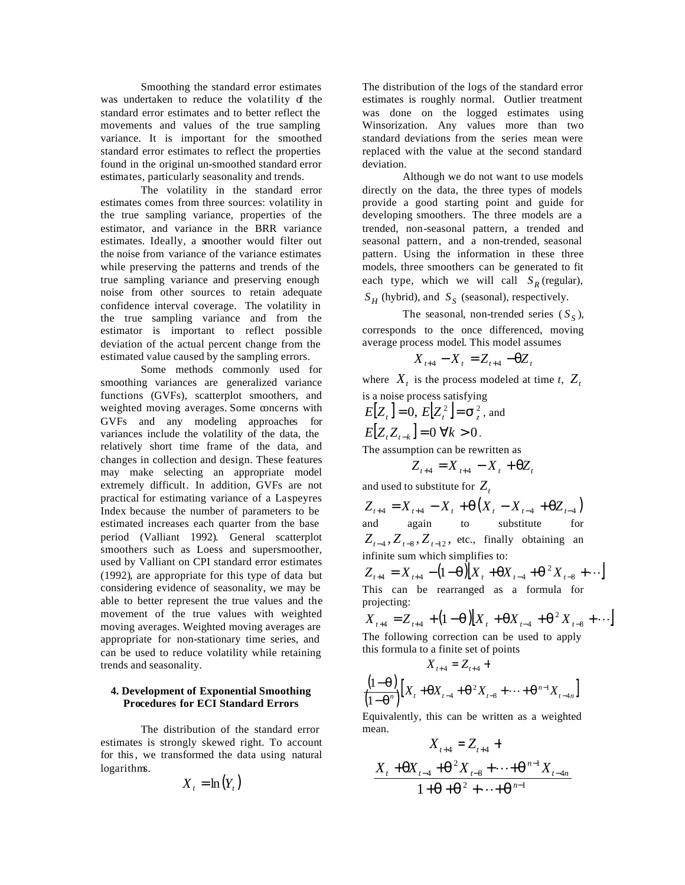Smoothing the standard error estimates was undertaken to reduce the volatility of the standard error estimates and to better reflect the movements and values of the true sampling variance. It is important for the smoothed standard error estimates to reflect the properties found in the original un-smoothed standard error estimates, particularly seasonality and trends.

The volatility in the standard error estimates comes from three sources: volatility in the true sampling variance, properties of the estimator, and variance in the BRR variance estimates. Ideally, a smoother would filter out the noise from variance of the variance estimates while preserving the patterns and trends of the true sampling variance and preserving enough noise from other sources to retain adequate confidence interval coverage. The volatility in the true sampling variance and from the estimator is important to reflect possible deviation of the actual percent change from the estimated value caused by the sampling errors.

Some methods commonly used for smoothing variances are generalized variance functions (GVFs), scatterplot smoothers, and weighted moving averages. Some concerns with GVFs and any modeling approaches for variances include the volatility of the data, the relatively short time frame of the data, and changes in collection and design. These features may make selecting an appropriate model extremely difficult. In addition, GVFs are not practical for estimating variance of a Laspeyres Index because the number of parameters to be estimated increases each quarter from the base period (Valliant 1992). General scatterplot smoothers such as Loess and supersmoother, used by Valliant on CPI standard error estimates (1992), are appropriate for this type of data but considering evidence of seasonality, we may be able to better represent the true values and the movement of the true values with weighted moving averages. Weighted moving averages are appropriate for non-stationary time series, and can be used to reduce volatility while retaining trends and seasonality.

## **4. Development of Exponential Smoothing Procedures for ECI Standard Errors**

The distribution of the standard error estimates is strongly skewed right. To account for this, we transformed the data using natural logarithms.

$$
X_t = \ln(Y_t)
$$

The distribution of the logs of the standard error estimates is roughly normal. Outlier treatment was done on the logged estimates using Winsorization. Any values more than two standard deviations from the series mean were replaced with the value at the second standard deviation.

Although we do not want to use models directly on the data, the three types of models provide a good starting point and guide for developing smoothers. The three models are a trended, non-seasonal pattern, a trended and seasonal pattern, and a non-trended, seasonal pattern. Using the information in these three models, three smoothers can be generated to fit each type, which we will call  $S_R$  (regular),  $S_H$  (hybrid), and  $S_S$  (seasonal), respectively.

The seasonal, non-trended series  $(S<sub>S</sub>)$ , corresponds to the once differenced, moving average process model. This model assumes

$$
X_{t+4} - X_t = Z_{t+4} - qZ_t
$$

where  $X_t$  is the process modeled at time *t*,  $Z_t$ is a noise process satisfying

$$
E[Z_t] = 0, E[Z_t^2] = \mathbf{s}_z^2, \text{ and}
$$
  

$$
E[Z_t Z_{t-k}] = 0 \forall k > 0.
$$

The assumption can be rewritten as

$$
Z_{t+4} = X_{t+4} - X_t + qZ_t
$$

and used to substitute for *Z<sup>t</sup>*

$$
Z_{t+4} = X_{t+4} - X_t + q(X_t - X_{t-4} + qZ_{t-4})
$$
  
and again to substitute for  

$$
Z_{t-4}, Z_{t-8}, Z_{t-12},
$$
 etc., finally obtaining an  
infinite sum which simplifies to:

 $_{A_{t+4}} = X_{t+4} - (1-q)[X_t + qX_{t-4} + q^2X_{t-8} + \cdots]$  $Z_{t+4} = X_{t+4} - (1-q)[X_t + qX_{t-4} + q^2X_t]$ This can be rearranged as a formula for projecting:

$$
X_{t+4} = Z_{t+4} + (1 - q) [X_t + qX_{t-4} + q^2 X_{t-8} + \cdots]
$$
  
The following correction can be used to apply

The following correction can be used to apply this formula to a finite set of points

$$
X_{t+4} = Z_{t+4} + \frac{(1-q)}{(1-q^n)} \Big[ X_t + q X_{t-4} + q^2 X_{t-8} + \dots + q^{n-1} X_{t-4n} \Big]
$$

Equivalently, this can be written as a weighted mean.

$$
X_{t+4} = Z_{t+4} + X_{t+4} + \underline{q}^{2} X_{t+8} + \cdots + \underline{q}^{n-1} X_{t+4n}
$$
  
1+q+q^{2} + \cdots + q^{n-1}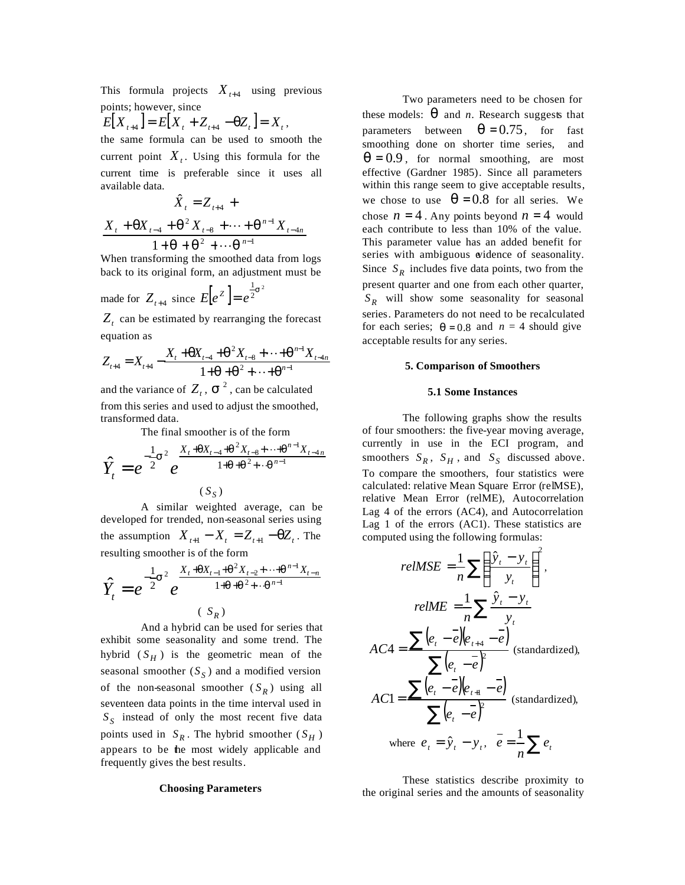This formula projects  $X_{t+4}$  using previous points; however, since

$$
E[X_{t+4}] = E[X_t + Z_{t+4} - \mathbf{q}Z_t] = X_t,
$$

the same formula can be used to smooth the current point  $X_t$ . Using this formula for the current time is preferable since it uses all available data.

$$
\hat{X}_{t} = Z_{t+4} + X_{t} + \frac{qX_{t-4} + q^{2}X_{t-8} + \dots + q^{n-1}X_{t-4n}}{1 + q + q^{2} + \dots + q^{n-1}}
$$

When transforming the smoothed data from logs back to its original form, an adjustment must be

made for 
$$
Z_{t+4}
$$
 since  $E[e^Z] = e^{\frac{1}{2}s^2}$ 

 $Z_t$  can be estimated by rearranging the forecast equation as

$$
Z_{t+4} = X_{t+4} - \frac{X_t + qX_{t-4} + q^2 X_{t-8} + \dots + q^{n-1} X_{t-4n}}{1 + q + q^2 + \dots + q^{n-1}}
$$

and the variance of  $Z_t$ ,  $S^2$ , can be calculated from this series and used to adjust the smoothed, transformed data.

The final smoother is of the form

$$
\hat{Y}_t = e^{-\frac{1}{2}s^2} e^{\frac{X_t + qX_{t-4} + q^2 X_{t-8} + \dots + q^{n-1}X_{t-4n}}{1 + q + q^2 + \dots + q^{n-1}}}
$$
\n
$$
(S_S)
$$

A similar weighted average, can be developed for trended, non-seasonal series using the assumption  $X_{t+1} - X_t = Z_{t+1} - qZ_t$ . The resulting smoother is of the form

$$
\hat{Y}_t = e^{-\frac{1}{2}s^2} e^{\frac{X_t + qX_{t-1} + q^2 X_{t-2} + \dots + q^{n-1}X_{t-n}}{1 + q + q^2 + \dots + q^{n-1}}}
$$
\n
$$
(S_R)
$$

And a hybrid can be used for series that exhibit some seasonality and some trend. The hybrid  $(S_H)$  is the geometric mean of the seasonal smoother  $(S<sub>S</sub>)$  and a modified version of the non-seasonal smoother  $(S_R)$  using all seventeen data points in the time interval used in *S S* instead of only the most recent five data points used in  $S_R$ . The hybrid smoother  $(S_H)$ appears to be the most widely applicable and frequently gives the best results.

#### **Choosing Parameters**

Two parameters need to be chosen for these models: *q* and *n*. Research suggests that parameters between  $q = 0.75$ , for fast smoothing done on shorter time series, and  $q = 0.9$ , for normal smoothing, are most effective (Gardner 1985). Since all parameters within this range seem to give acceptable results, we chose to use  $q = 0.8$  for all series. We chose  $n = 4$ . Any points beyond  $n = 4$  would each contribute to less than 10% of the value. This parameter value has an added benefit for series with ambiguous evidence of seasonality. Since  $S_R$  includes five data points, two from the present quarter and one from each other quarter, *R S* will show some seasonality for seasonal series. Parameters do not need to be recalculated for each series;  $q = 0.8$  and  $n = 4$  should give acceptable results for any series.

### **5. Comparison of Smoothers**

### **5.1 Some Instances**

The following graphs show the results of four smoothers: the five-year moving average, currently in use in the ECI program, and smoothers  $S_R$ ,  $S_H$ , and  $S_S$  discussed above. To compare the smoothers, four statistics were calculated: relative Mean Square Error (relMSE), relative Mean Error (relME), Autocorrelation Lag 4 of the errors (AC4), and Autocorrelation Lag 1 of the errors (AC1). These statistics are computed using the following formulas:

$$
relMSE = \frac{1}{n} \sum \left( \frac{\hat{y}_t - y_t}{y_t} \right)^2,
$$

$$
relME = \frac{1}{n} \sum \frac{\hat{y}_t - y_t}{y_t}
$$

$$
AC4 = \frac{\sum (e_t - \overline{e})(e_{t+4} - \overline{e})}{\sum (e_t - \overline{e})^2} \text{ (standardized)},
$$

$$
AC1 = \frac{\sum (e_t - \overline{e})(e_{t+1} - \overline{e})}{\sum (e_t - \overline{e})^2} \text{ (standardized)},
$$

$$
where \ e_t = \hat{y}_t - y_t, \ \overline{e} = \frac{1}{n} \sum e_t
$$

These statistics describe proximity to the original series and the amounts of seasonality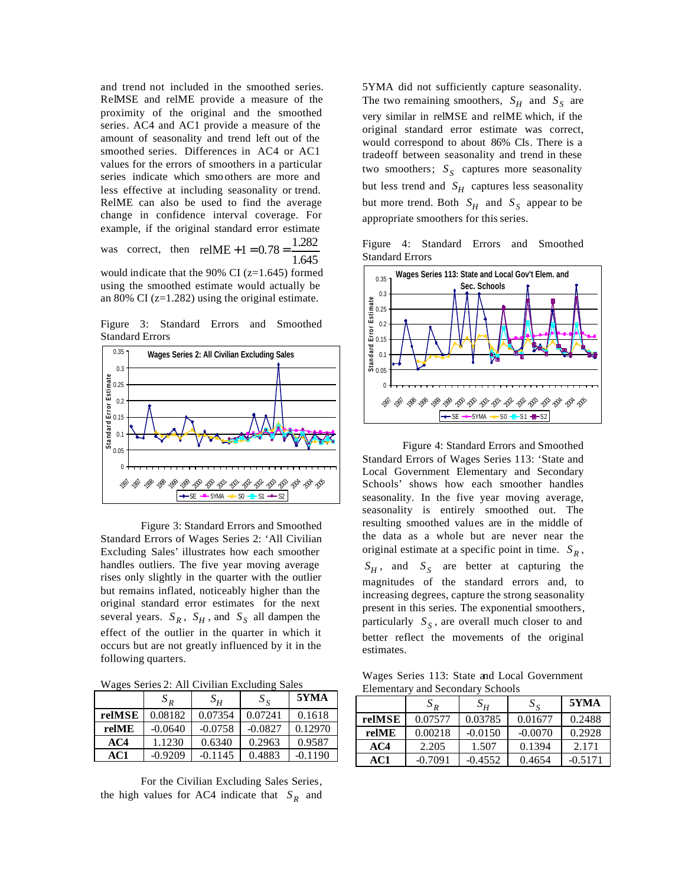and trend not included in the smoothed series. RelMSE and relME provide a measure of the proximity of the original and the smoothed series. AC4 and AC1 provide a measure of the amount of seasonality and trend left out of the smoothed series. Differences in AC4 or AC1 values for the errors of smoothers in a particular series indicate which smo others are more and less effective at including seasonality or trend. RelME can also be used to find the average change in confidence interval coverage. For example, if the original standard error estimate was correct, then  $\text{relME} + 1 = 0.78 = \frac{1.282}{\frac{1.282}{\cdots}}$ 

1.645 would indicate that the 90% CI (z=1.645) formed using the smoothed estimate would actually be an 80% CI (z=1.282) using the original estimate.

Figure 3: Standard Errors and Smoothed Standard Errors



Figure 3: Standard Errors and Smoothed Standard Errors of Wages Series 2: 'All Civilian Excluding Sales' illustrates how each smoother handles outliers. The five year moving average rises only slightly in the quarter with the outlier but remains inflated, noticeably higher than the original standard error estimates for the next several years.  $S_R$ ,  $S_H$ , and  $S_S$  all dampen the effect of the outlier in the quarter in which it occurs but are not greatly influenced by it in the following quarters.

Wages Series 2: All Civilian Excluding Sales

|        | $S_{R}$   | $S_H$     | $S_{\rm g}$ | 5YMA      |
|--------|-----------|-----------|-------------|-----------|
| relMSE | 0.08182   | 0.07354   | 0.07241     | 0.1618    |
| relME  | $-0.0640$ | $-0.0758$ | $-0.0827$   | 0.12970   |
| AC4    | 1.1230    | 0.6340    | 0.2963      | 0.9587    |
| AC1    | $-0.9209$ | $-0.1145$ | 0.4883      | $-0.1190$ |

For the Civilian Excluding Sales Series, the high values for AC4 indicate that  $S_R$  and 5YMA did not sufficiently capture seasonality. The two remaining smoothers,  $S_H$  and  $S_S$  are very similar in relMSE and relME which, if the original standard error estimate was correct, would correspond to about 86% CIs. There is a tradeoff between seasonality and trend in these two smoothers;  $S<sub>S</sub>$  captures more seasonality but less trend and  $S_H$  captures less seasonality but more trend. Both  $S_H$  and  $S_S$  appear to be appropriate smoothers for this series.

Figure 4: Standard Errors and Smoothed Standard Errors



Figure 4: Standard Errors and Smoothed Standard Errors of Wages Series 113: 'State and Local Government Elementary and Secondary Schools' shows how each smoother handles seasonality. In the five year moving average, seasonality is entirely smoothed out. The resulting smoothed values are in the middle of the data as a whole but are never near the original estimate at a specific point in time.  $S_R$ ,  $S_H$ , and  $S_S$  are better at capturing the magnitudes of the standard errors and, to increasing degrees, capture the strong seasonality present in this series. The exponential smoothers, particularly *<sup>S</sup> S* , are overall much closer to and better reflect the movements of the original estimates.

Wages Series 113: State and Local Government Elementary and Secondary Schools

|        | $S_R$     | $S_H$     | $S_{\rm g}$ | 5YMA      |
|--------|-----------|-----------|-------------|-----------|
| relMSE | 0.07577   | 0.03785   | 0.01677     | 0.2488    |
| relME  | 0.00218   | $-0.0150$ | $-0.0070$   | 0.2928    |
| AC4    | 2.205     | 1.507     | 0.1394      | 2.171     |
| AC1    | $-0.7091$ | $-0.4552$ | 0.4654      | $-0.5171$ |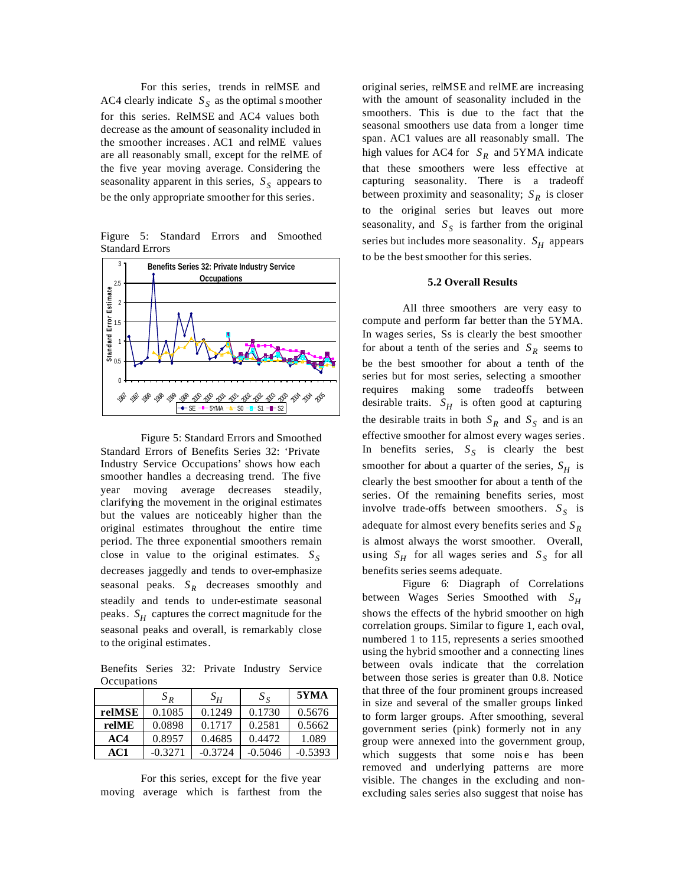For this series, trends in relMSE and AC4 clearly indicate  $S<sub>S</sub>$  as the optimal s moother for this series. RelMSE and AC4 values both decrease as the amount of seasonality included in the smoother increases. AC1 and relME values are all reasonably small, except for the relME of the five year moving average. Considering the seasonality apparent in this series, *<sup>S</sup> S* appears to be the only appropriate smoother for this series.

Figure 5: Standard Errors and Smoothed Standard Errors



Figure 5: Standard Errors and Smoothed Standard Errors of Benefits Series 32: 'Private Industry Service Occupations' shows how each smoother handles a decreasing trend. The five year moving average decreases steadily, clarifying the movement in the original estimates but the values are noticeably higher than the original estimates throughout the entire time period. The three exponential smoothers remain close in value to the original estimates. *<sup>S</sup> S* decreases jaggedly and tends to over-emphasize seasonal peaks.  $S_R$  decreases smoothly and steadily and tends to under-estimate seasonal peaks.  $S_H$  captures the correct magnitude for the seasonal peaks and overall, is remarkably close to the original estimates.

Benefits Series 32: Private Industry Service **Occupations** 

|        | $S_{R}$   | $S_H$     | $S_{\rm S}$ | 5YMA      |
|--------|-----------|-----------|-------------|-----------|
| relMSE | 0.1085    | 0.1249    | 0.1730      | 0.5676    |
| relME  | 0.0898    | 0.1717    | 0.2581      | 0.5662    |
| AC4    | 0.8957    | 0.4685    | 0.4472      | 1.089     |
| AC1    | $-0.3271$ | $-0.3724$ | $-0.5046$   | $-0.5393$ |

For this series, except for the five year moving average which is farthest from the original series, relMSE and relME are increasing with the amount of seasonality included in the smoothers. This is due to the fact that the seasonal smoothers use data from a longer time span. AC1 values are all reasonably small. The high values for AC4 for  $S_R$  and 5YMA indicate that these smoothers were less effective at capturing seasonality. There is a tradeoff between proximity and seasonality;  $S_R$  is closer to the original series but leaves out more seasonality, and  $S<sub>S</sub>$  is farther from the original series but includes more seasonality.  $S_H$  appears to be the best smoother for this series.

### **5.2 Overall Results**

All three smoothers are very easy to compute and perform far better than the 5YMA. In wages series, Ss is clearly the best smoother for about a tenth of the series and  $S_R$  seems to be the best smoother for about a tenth of the series but for most series, selecting a smoother requires making some tradeoffs between desirable traits.  $S_H$  is often good at capturing the desirable traits in both  $S_R$  and  $S_S$  and is an effective smoother for almost every wages series. In benefits series,  $S<sub>S</sub>$  is clearly the best smoother for about a quarter of the series,  $S_H$  is clearly the best smoother for about a tenth of the series. Of the remaining benefits series, most involve trade-offs between smoothers. *<sup>S</sup> S* is adequate for almost every benefits series and *<sup>R</sup> S* is almost always the worst smoother. Overall, using  $S_H$  for all wages series and  $S_S$  for all benefits series seems adequate.

Figure 6: Diagraph of Correlations between Wages Series Smoothed with *<sup>H</sup> S* shows the effects of the hybrid smoother on high correlation groups. Similar to figure 1, each oval, numbered 1 to 115, represents a series smoothed using the hybrid smoother and a connecting lines between ovals indicate that the correlation between those series is greater than 0.8. Notice that three of the four prominent groups increased in size and several of the smaller groups linked to form larger groups. After smoothing, several government series (pink) formerly not in any group were annexed into the government group, which suggests that some noise has been removed and underlying patterns are more visible. The changes in the excluding and nonexcluding sales series also suggest that noise has